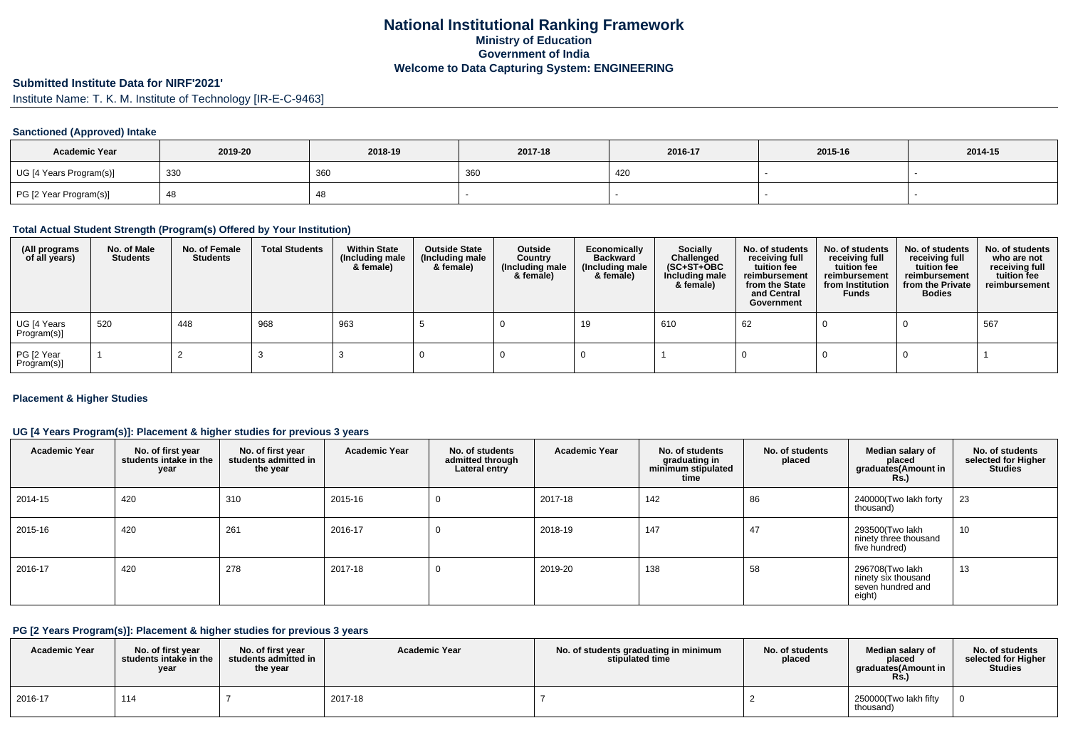# **National Institutional Ranking FrameworkMinistry of Education Government of IndiaWelcome to Data Capturing System: ENGINEERING**

# **Submitted Institute Data for NIRF'2021'**

Institute Name: T. K. M. Institute of Technology [IR-E-C-9463]

### **Sanctioned (Approved) Intake**

| <b>Academic Year</b>    | 2019-20 | 2018-19 | 2017-18 | 2016-17 | 2015-16 | 2014-15 |
|-------------------------|---------|---------|---------|---------|---------|---------|
| UG [4 Years Program(s)] | 330     | 360     | 360     | 420     |         |         |
| PG [2 Year Program(s)]  |         | 40      |         |         |         |         |

#### **Total Actual Student Strength (Program(s) Offered by Your Institution)**

| (All programs<br>of all years) | No. of Male<br><b>Students</b> | No. of Female<br>Students | <b>Total Students</b> | <b>Within State</b><br>(Including male<br>& female) | <b>Outside State</b><br>(Including male<br>& female) | Outside<br>Country<br>(Including male<br>& female) | Economically<br><b>Backward</b><br>(Including male)<br>& female) | Socially<br>Challenged<br>$(SC+ST+OBC)$<br>Including male<br>& female) | No. of students<br>receiving full<br>tuition fee<br>reimbursement<br>from the State<br>and Central<br>Government | No. of students<br>receiving full<br>tuition fee<br>reimbursement<br>from Institution<br><b>Funds</b> | No. of students<br>receiving full<br>tuition fee<br>reimbursement<br>from the Private<br><b>Bodies</b> | No. of students<br>who are not<br>receiving full<br>tuition fee<br>reimbursement |
|--------------------------------|--------------------------------|---------------------------|-----------------------|-----------------------------------------------------|------------------------------------------------------|----------------------------------------------------|------------------------------------------------------------------|------------------------------------------------------------------------|------------------------------------------------------------------------------------------------------------------|-------------------------------------------------------------------------------------------------------|--------------------------------------------------------------------------------------------------------|----------------------------------------------------------------------------------|
| UG [4 Years<br>Program(s)]     | 520                            | 448                       | 968                   | 963                                                 |                                                      |                                                    | 19                                                               | 610                                                                    | 62                                                                                                               |                                                                                                       |                                                                                                        | 567                                                                              |
| PG [2 Year<br>Program(s)]      |                                |                           |                       |                                                     |                                                      |                                                    |                                                                  |                                                                        |                                                                                                                  |                                                                                                       |                                                                                                        |                                                                                  |

#### **Placement & Higher Studies**

### **UG [4 Years Program(s)]: Placement & higher studies for previous 3 years**

| <b>Academic Year</b> | No. of first year<br>students intake in the<br>year | No. of first year<br>students admitted in<br>the year | <b>Academic Year</b> | No. of students<br>admitted through<br>Lateral entry | <b>Academic Year</b> | No. of students<br>graduating in<br>minimum stipulated<br>time | No. of students<br>placed | Median salary of<br>placed<br>graduates(Amount in<br><b>Rs.)</b>      | No. of students<br>selected for Higher<br><b>Studies</b> |
|----------------------|-----------------------------------------------------|-------------------------------------------------------|----------------------|------------------------------------------------------|----------------------|----------------------------------------------------------------|---------------------------|-----------------------------------------------------------------------|----------------------------------------------------------|
| 2014-15              | 420                                                 | 310                                                   | 2015-16              | -0                                                   | 2017-18              | 142                                                            | 86                        | 240000(Two lakh forty<br>thousand)                                    | 23                                                       |
| 2015-16              | 420                                                 | 261                                                   | 2016-17              |                                                      | 2018-19              | 147                                                            | 47                        | 293500(Two lakh<br>ninety three thousand<br>five hundred)             | 10                                                       |
| 2016-17              | 420                                                 | 278                                                   | 2017-18              |                                                      | 2019-20              | 138                                                            | 58                        | 296708(Two lakh<br>ninety six thousand<br>seven hundred and<br>eight) | 13                                                       |

#### **PG [2 Years Program(s)]: Placement & higher studies for previous 3 years**

| <b>Academic Year</b> | No. of first vear<br>students intake in the<br>year | No. of first vear<br>students admitted in<br>the year | <b>Academic Year</b> | No. of students graduating in minimum<br>stipulated time | No. of students<br>placed | Median salary of<br>placed<br>graduates(Amount in<br><b>KS.)</b> | No. of students<br>selected for Higher<br><b>Studies</b> |
|----------------------|-----------------------------------------------------|-------------------------------------------------------|----------------------|----------------------------------------------------------|---------------------------|------------------------------------------------------------------|----------------------------------------------------------|
| 2016-17              | 114                                                 |                                                       | 2017-18              |                                                          |                           | 250000 (Two lakh fifty<br>thousand)                              |                                                          |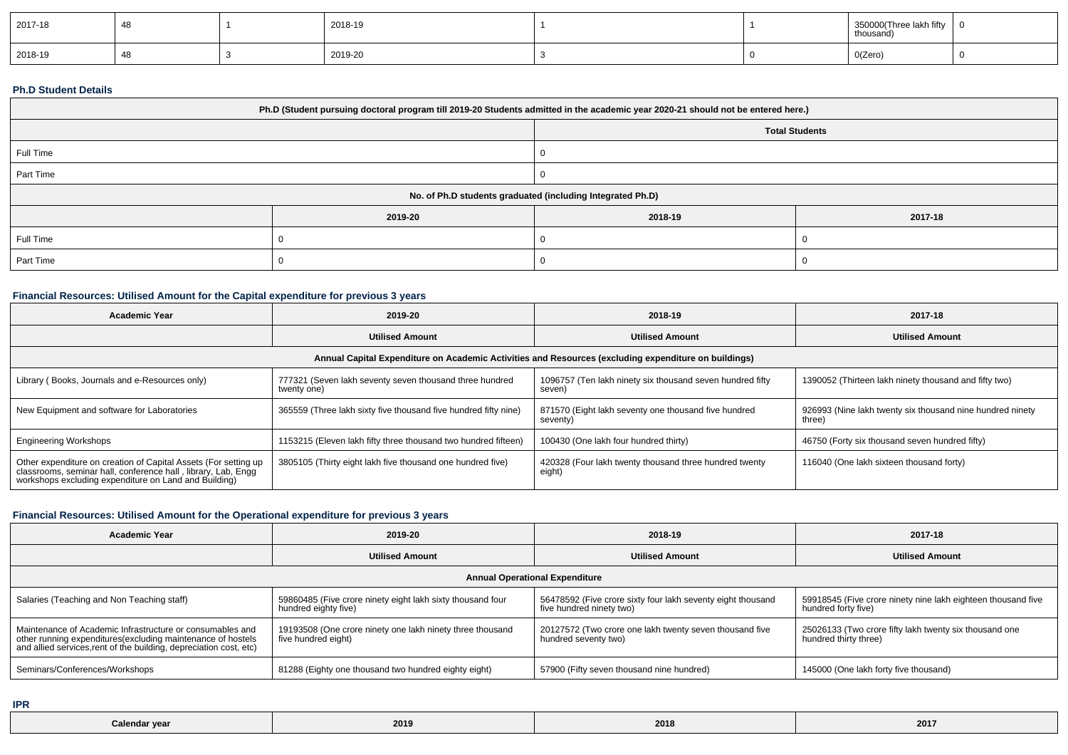| 2017-18 |  | 2018-19 |  | lakh fifty<br>$100$ (Three<br>thousand) | - 0 |
|---------|--|---------|--|-----------------------------------------|-----|
| 2018-19 |  | 2019-20 |  | O(Zero)                                 |     |

#### **Ph.D Student Details**

| Ph.D (Student pursuing doctoral program till 2019-20 Students admitted in the academic year 2020-21 should not be entered here.) |         |         |         |  |  |  |  |
|----------------------------------------------------------------------------------------------------------------------------------|---------|---------|---------|--|--|--|--|
| <b>Total Students</b>                                                                                                            |         |         |         |  |  |  |  |
| Full Time                                                                                                                        |         |         |         |  |  |  |  |
| Part Time                                                                                                                        |         |         |         |  |  |  |  |
| No. of Ph.D students graduated (including Integrated Ph.D)                                                                       |         |         |         |  |  |  |  |
|                                                                                                                                  | 2019-20 | 2018-19 | 2017-18 |  |  |  |  |
| Full Time                                                                                                                        |         |         |         |  |  |  |  |
| Part Time                                                                                                                        |         |         |         |  |  |  |  |

## **Financial Resources: Utilised Amount for the Capital expenditure for previous 3 years**

| <b>Academic Year</b>                                                                                                                                                                      | 2019-20                                                                | 2018-19                                                             | 2017-18                                                                         |  |  |  |  |  |  |
|-------------------------------------------------------------------------------------------------------------------------------------------------------------------------------------------|------------------------------------------------------------------------|---------------------------------------------------------------------|---------------------------------------------------------------------------------|--|--|--|--|--|--|
|                                                                                                                                                                                           | <b>Utilised Amount</b>                                                 | <b>Utilised Amount</b>                                              | <b>Utilised Amount</b>                                                          |  |  |  |  |  |  |
| Annual Capital Expenditure on Academic Activities and Resources (excluding expenditure on buildings)                                                                                      |                                                                        |                                                                     |                                                                                 |  |  |  |  |  |  |
| Library (Books, Journals and e-Resources only)                                                                                                                                            | 777321 (Seven lakh seventy seven thousand three hundred<br>twenty one) | 1096757 (Ten lakh ninety six thousand seven hundred fifty<br>seven) | 1390052 (Thirteen lakh ninety thousand and fifty two)                           |  |  |  |  |  |  |
| New Equipment and software for Laboratories                                                                                                                                               | 365559 (Three lakh sixty five thousand five hundred fifty nine)        | 871570 (Eight lakh seventy one thousand five hundred<br>seventy)    | 926993 (Nine lakh twenty six thousand nine hundred ninety<br>three <sup>'</sup> |  |  |  |  |  |  |
| <b>Engineering Workshops</b>                                                                                                                                                              | 1153215 (Eleven lakh fifty three thousand two hundred fifteen)         | 100430 (One lakh four hundred thirty)                               | 46750 (Forty six thousand seven hundred fifty)                                  |  |  |  |  |  |  |
| Other expenditure on creation of Capital Assets (For setting up<br>classrooms, seminar hall, conference hall, library, Lab, Engg<br>workshops excluding expenditure on Land and Building) | 3805105 (Thirty eight lakh five thousand one hundred five)             | 420328 (Four lakh twenty thousand three hundred twenty<br>eight)    | 116040 (One lakh sixteen thousand forty)                                        |  |  |  |  |  |  |

## **Financial Resources: Utilised Amount for the Operational expenditure for previous 3 years**

| <b>Academic Year</b>                                                                                                                                                                           | 2019-20                                                                            | 2018-19                                                                                 | 2017-18                                                                             |  |  |  |  |  |
|------------------------------------------------------------------------------------------------------------------------------------------------------------------------------------------------|------------------------------------------------------------------------------------|-----------------------------------------------------------------------------------------|-------------------------------------------------------------------------------------|--|--|--|--|--|
|                                                                                                                                                                                                | <b>Utilised Amount</b>                                                             | <b>Utilised Amount</b>                                                                  | <b>Utilised Amount</b>                                                              |  |  |  |  |  |
| <b>Annual Operational Expenditure</b>                                                                                                                                                          |                                                                                    |                                                                                         |                                                                                     |  |  |  |  |  |
| Salaries (Teaching and Non Teaching staff)                                                                                                                                                     | 59860485 (Five crore ninety eight lakh sixty thousand four<br>hundred eighty five) | 56478592 (Five crore sixty four lakh seventy eight thousand<br>five hundred ninety two) | 59918545 (Five crore ninety nine lakh eighteen thousand five<br>hundred forty five) |  |  |  |  |  |
| Maintenance of Academic Infrastructure or consumables and<br>other running expenditures(excluding maintenance of hostels<br>and allied services, rent of the building, depreciation cost, etc) | 19193508 (One crore ninety one lakh ninety three thousand<br>five hundred eight)   | 20127572 (Two crore one lakh twenty seven thousand five<br>hundred seventy two)         | 25026133 (Two crore fifty lakh twenty six thousand one<br>hundred thirty three)     |  |  |  |  |  |
| Seminars/Conferences/Workshops                                                                                                                                                                 | 81288 (Eighty one thousand two hundred eighty eight)                               | 57900 (Fifty seven thousand nine hundred)                                               | 145000 (One lakh forty five thousand)                                               |  |  |  |  |  |

**IPR**

| 2017<br>2018<br>2019<br>Calendar year |  |
|---------------------------------------|--|
|---------------------------------------|--|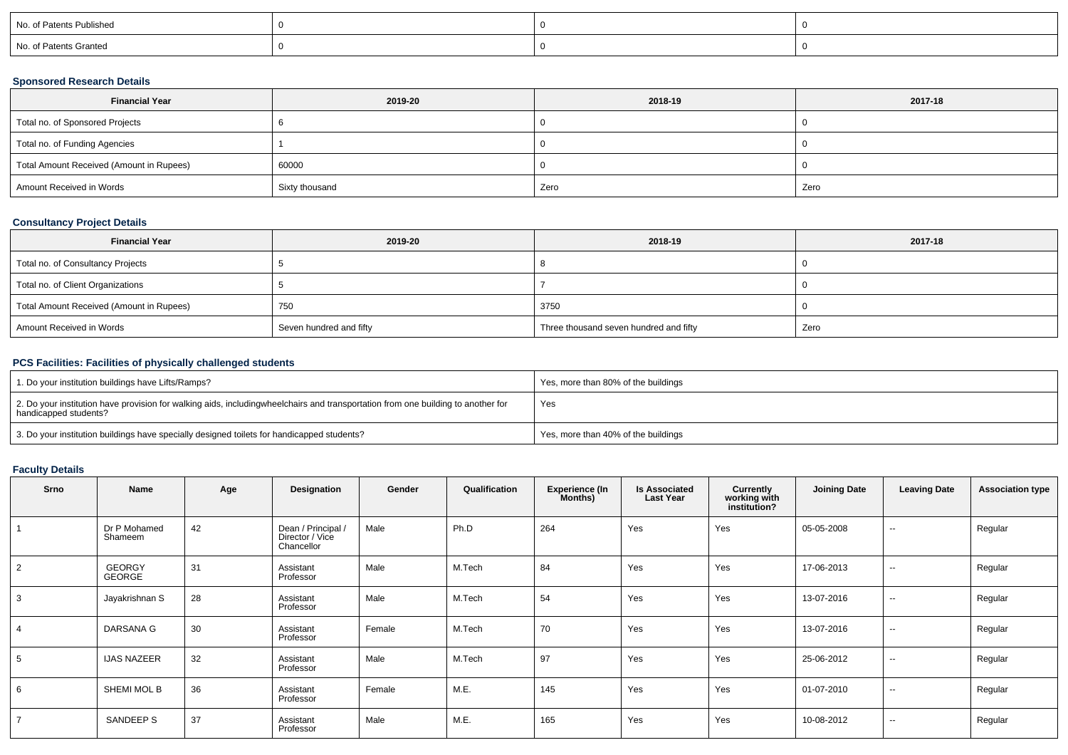| No. of Patents Published |  |  |
|--------------------------|--|--|
| No. of Patents Granted   |  |  |

### **Sponsored Research Details**

| <b>Financial Year</b>                    | 2019-20        | 2018-19 | 2017-18 |
|------------------------------------------|----------------|---------|---------|
| Total no. of Sponsored Projects          |                |         |         |
| Total no. of Funding Agencies            |                |         |         |
| Total Amount Received (Amount in Rupees) | 60000          |         |         |
| Amount Received in Words                 | Sixty thousand | Zero    | Zero    |

### **Consultancy Project Details**

| <b>Financial Year</b>                    | 2019-20                 | 2018-19                                | 2017-18 |
|------------------------------------------|-------------------------|----------------------------------------|---------|
| Total no. of Consultancy Projects        |                         |                                        |         |
| Total no. of Client Organizations        |                         |                                        |         |
| Total Amount Received (Amount in Rupees) | 750                     | 3750                                   |         |
| Amount Received in Words                 | Seven hundred and fifty | Three thousand seven hundred and fifty | Zero    |

## **PCS Facilities: Facilities of physically challenged students**

| 1. Do your institution buildings have Lifts/Ramps?                                                                                                        | Yes, more than 80% of the buildings |
|-----------------------------------------------------------------------------------------------------------------------------------------------------------|-------------------------------------|
| 2. Do your institution have provision for walking aids, includingwheelchairs and transportation from one building to another for<br>handicapped students? | Yes                                 |
| 3. Do your institution buildings have specially designed toilets for handicapped students?                                                                | Yes, more than 40% of the buildings |

## **Faculty Details**

| Srno           | Name                    | Age | Designation                                         | Gender | Qualification | <b>Experience (In</b><br>Months) | <b>Is Associated</b><br><b>Last Year</b> | Currently<br>working with<br>institution? | <b>Joining Date</b> | <b>Leaving Date</b> | <b>Association type</b> |
|----------------|-------------------------|-----|-----------------------------------------------------|--------|---------------|----------------------------------|------------------------------------------|-------------------------------------------|---------------------|---------------------|-------------------------|
|                | Dr P Mohamed<br>Shameem | 42  | Dean / Principal /<br>Director / Vice<br>Chancellor | Male   | Ph.D          | 264                              | Yes                                      | Yes                                       | 05-05-2008          | $\sim$              | Regular                 |
| 2              | <b>GEORGY</b><br>GEORGE | 31  | Assistant<br>Professor                              | Male   | M.Tech        | 84                               | Yes                                      | Yes                                       | 17-06-2013          | $\sim$              | Regular                 |
| 3              | Jayakrishnan S          | 28  | Assistant<br>Professor                              | Male   | M.Tech        | 54                               | Yes                                      | Yes                                       | 13-07-2016          | $\sim$              | Regular                 |
| $\overline{4}$ | DARSANA G               | 30  | Assistant<br>Professor                              | Female | M.Tech        | 70                               | Yes                                      | Yes                                       | 13-07-2016          | $\sim$              | Regular                 |
| 5              | <b>IJAS NAZEER</b>      | 32  | Assistant<br>Professor                              | Male   | M.Tech        | 97                               | Yes                                      | Yes                                       | 25-06-2012          | $\sim$              | Regular                 |
| 6              | SHEMI MOL B             | 36  | Assistant<br>Professor                              | Female | M.E.          | 145                              | Yes                                      | Yes                                       | 01-07-2010          | $\sim$              | Regular                 |
| $\overline{7}$ | SANDEEP S               | 37  | Assistant<br>Professor                              | Male   | M.E.          | 165                              | Yes                                      | Yes                                       | 10-08-2012          | $\sim$              | Regular                 |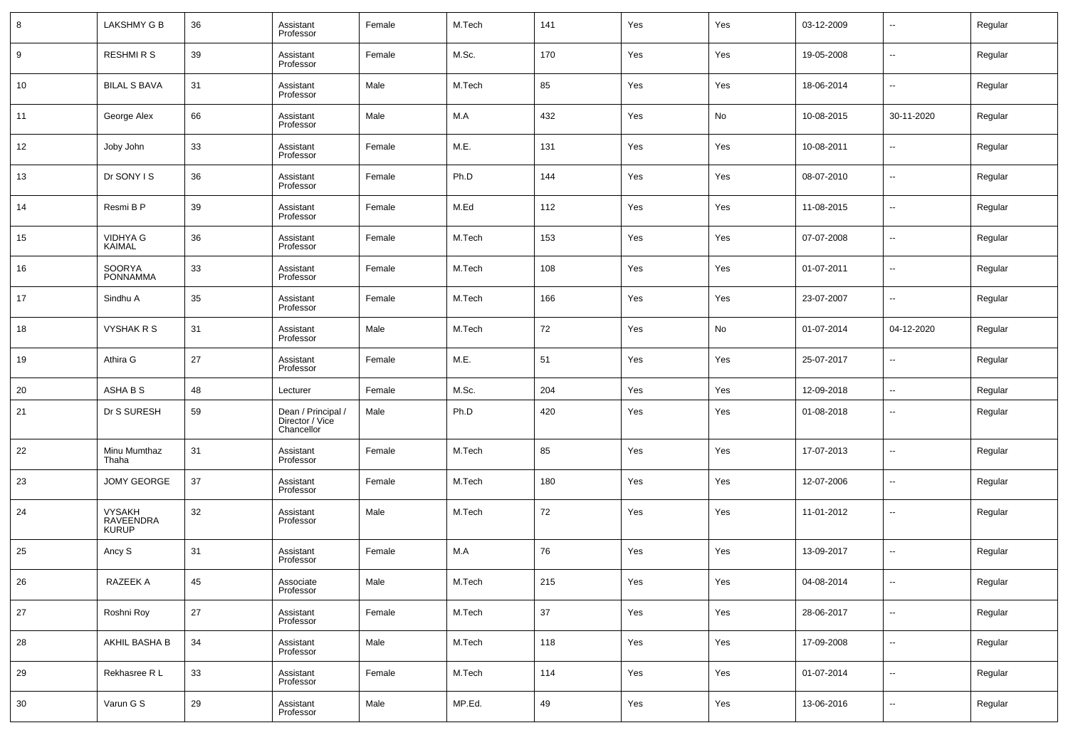| 8  | LAKSHMY G B                         | 36 | Assistant<br>Professor                              | Female | M.Tech | 141 | Yes | Yes | 03-12-2009 | $\overline{\phantom{a}}$ | Regular |
|----|-------------------------------------|----|-----------------------------------------------------|--------|--------|-----|-----|-----|------------|--------------------------|---------|
| 9  | <b>RESHMIRS</b>                     | 39 | Assistant<br>Professor                              | Female | M.Sc.  | 170 | Yes | Yes | 19-05-2008 | $\overline{\phantom{a}}$ | Regular |
| 10 | <b>BILAL S BAVA</b>                 | 31 | Assistant<br>Professor                              | Male   | M.Tech | 85  | Yes | Yes | 18-06-2014 | $\overline{\phantom{a}}$ | Regular |
| 11 | George Alex                         | 66 | Assistant<br>Professor                              | Male   | M.A    | 432 | Yes | No  | 10-08-2015 | 30-11-2020               | Regular |
| 12 | Joby John                           | 33 | Assistant<br>Professor                              | Female | M.E.   | 131 | Yes | Yes | 10-08-2011 | $\overline{\phantom{a}}$ | Regular |
| 13 | Dr SONY I S                         | 36 | Assistant<br>Professor                              | Female | Ph.D   | 144 | Yes | Yes | 08-07-2010 | $\overline{\phantom{a}}$ | Regular |
| 14 | Resmi B P                           | 39 | Assistant<br>Professor                              | Female | M.Ed   | 112 | Yes | Yes | 11-08-2015 | $\overline{\phantom{a}}$ | Regular |
| 15 | <b>VIDHYA G</b><br><b>KAIMAL</b>    | 36 | Assistant<br>Professor                              | Female | M.Tech | 153 | Yes | Yes | 07-07-2008 | $\overline{\phantom{a}}$ | Regular |
| 16 | SOORYA<br><b>PONNAMMA</b>           | 33 | Assistant<br>Professor                              | Female | M.Tech | 108 | Yes | Yes | 01-07-2011 | $\overline{\phantom{a}}$ | Regular |
| 17 | Sindhu A                            | 35 | Assistant<br>Professor                              | Female | M.Tech | 166 | Yes | Yes | 23-07-2007 | $\overline{\phantom{a}}$ | Regular |
| 18 | <b>VYSHAK R S</b>                   | 31 | Assistant<br>Professor                              | Male   | M.Tech | 72  | Yes | No  | 01-07-2014 | 04-12-2020               | Regular |
| 19 | Athira G                            | 27 | Assistant<br>Professor                              | Female | M.E.   | 51  | Yes | Yes | 25-07-2017 | $\overline{\phantom{a}}$ | Regular |
| 20 | ASHA B S                            | 48 | Lecturer                                            | Female | M.Sc.  | 204 | Yes | Yes | 12-09-2018 | $\overline{\phantom{a}}$ | Regular |
| 21 | Dr S SURESH                         | 59 | Dean / Principal /<br>Director / Vice<br>Chancellor | Male   | Ph.D   | 420 | Yes | Yes | 01-08-2018 | $\overline{\phantom{a}}$ | Regular |
| 22 | Minu Mumthaz<br>Thaha               | 31 | Assistant<br>Professor                              | Female | M.Tech | 85  | Yes | Yes | 17-07-2013 | $\overline{\phantom{a}}$ | Regular |
| 23 | <b>JOMY GEORGE</b>                  | 37 | Assistant<br>Professor                              | Female | M.Tech | 180 | Yes | Yes | 12-07-2006 | $\overline{\phantom{a}}$ | Regular |
| 24 | <b>VYSAKH</b><br>RAVEENDRA<br>KURUP | 32 | Assistant<br>Professor                              | Male   | M.Tech | 72  | Yes | Yes | 11-01-2012 | $\overline{\phantom{a}}$ | Regular |
| 25 | Ancy S                              | 31 | Assistant<br>Professor                              | Female | M.A    | 76  | Yes | Yes | 13-09-2017 | $\overline{\phantom{a}}$ | Regular |
| 26 | RAZEEK A                            | 45 | Associate<br>Professor                              | Male   | M.Tech | 215 | Yes | Yes | 04-08-2014 |                          | Regular |
| 27 | Roshni Roy                          | 27 | Assistant<br>Professor                              | Female | M.Tech | 37  | Yes | Yes | 28-06-2017 | $\overline{\phantom{a}}$ | Regular |
| 28 | AKHIL BASHA B                       | 34 | Assistant<br>Professor                              | Male   | M.Tech | 118 | Yes | Yes | 17-09-2008 | $\overline{\phantom{a}}$ | Regular |
| 29 | Rekhasree R L                       | 33 | Assistant<br>Professor                              | Female | M.Tech | 114 | Yes | Yes | 01-07-2014 | $\overline{\phantom{a}}$ | Regular |
| 30 | Varun G S                           | 29 | Assistant<br>Professor                              | Male   | MP.Ed. | 49  | Yes | Yes | 13-06-2016 | $\overline{\phantom{a}}$ | Regular |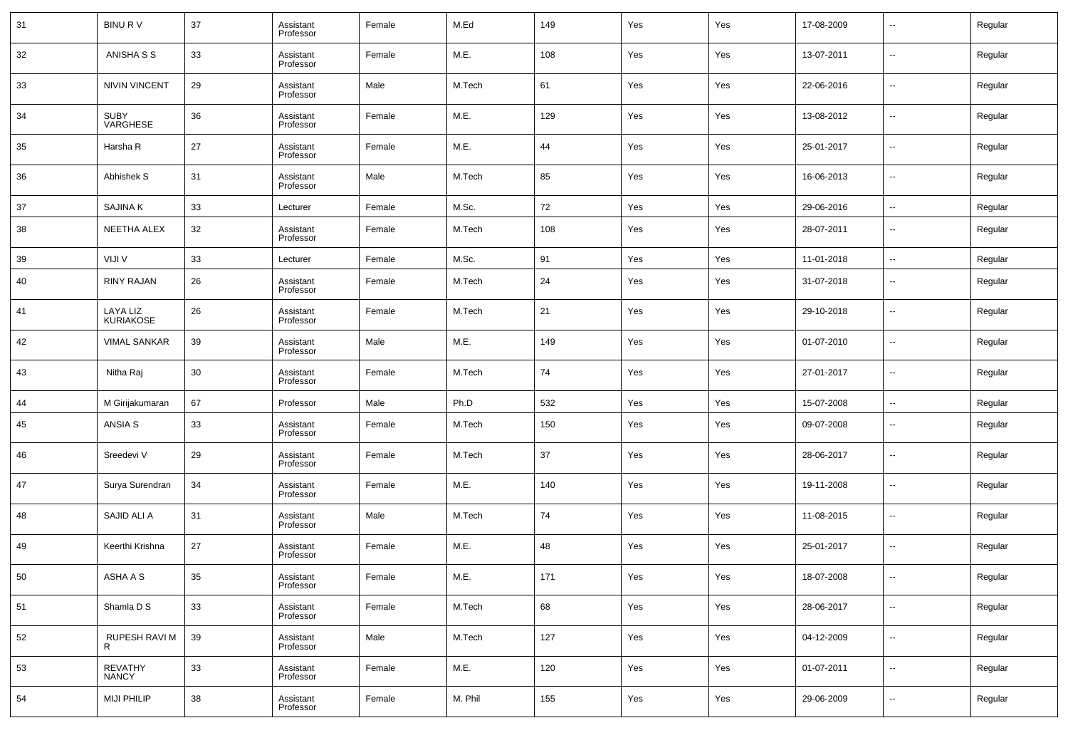| 31 | <b>BINURV</b>                | 37 | Assistant<br>Professor | Female | M.Ed    | 149 | Yes | Yes | 17-08-2009 | $\overline{\phantom{a}}$ | Regular |
|----|------------------------------|----|------------------------|--------|---------|-----|-----|-----|------------|--------------------------|---------|
| 32 | ANISHA S S                   | 33 | Assistant<br>Professor | Female | M.E.    | 108 | Yes | Yes | 13-07-2011 | $\overline{\phantom{a}}$ | Regular |
| 33 | <b>NIVIN VINCENT</b>         | 29 | Assistant<br>Professor | Male   | M.Tech  | 61  | Yes | Yes | 22-06-2016 | $\overline{\phantom{a}}$ | Regular |
| 34 | <b>SUBY</b><br>VARGHESE      | 36 | Assistant<br>Professor | Female | M.E.    | 129 | Yes | Yes | 13-08-2012 | $\overline{\phantom{a}}$ | Regular |
| 35 | Harsha R                     | 27 | Assistant<br>Professor | Female | M.E.    | 44  | Yes | Yes | 25-01-2017 | $\overline{\phantom{a}}$ | Regular |
| 36 | Abhishek S                   | 31 | Assistant<br>Professor | Male   | M.Tech  | 85  | Yes | Yes | 16-06-2013 | $\overline{\phantom{a}}$ | Regular |
| 37 | <b>SAJINAK</b>               | 33 | Lecturer               | Female | M.Sc.   | 72  | Yes | Yes | 29-06-2016 | $\sim$                   | Regular |
| 38 | <b>NEETHA ALEX</b>           | 32 | Assistant<br>Professor | Female | M.Tech  | 108 | Yes | Yes | 28-07-2011 | $\overline{\phantom{a}}$ | Regular |
| 39 | VIJI V                       | 33 | Lecturer               | Female | M.Sc.   | 91  | Yes | Yes | 11-01-2018 | $\overline{\phantom{a}}$ | Regular |
| 40 | <b>RINY RAJAN</b>            | 26 | Assistant<br>Professor | Female | M.Tech  | 24  | Yes | Yes | 31-07-2018 | $\overline{\phantom{a}}$ | Regular |
| 41 | LAYA LIZ<br><b>KURIAKOSE</b> | 26 | Assistant<br>Professor | Female | M.Tech  | 21  | Yes | Yes | 29-10-2018 | $\sim$                   | Regular |
| 42 | <b>VIMAL SANKAR</b>          | 39 | Assistant<br>Professor | Male   | M.E.    | 149 | Yes | Yes | 01-07-2010 | $\overline{\phantom{a}}$ | Regular |
| 43 | Nitha Raj                    | 30 | Assistant<br>Professor | Female | M.Tech  | 74  | Yes | Yes | 27-01-2017 | $\sim$                   | Regular |
| 44 | M Girijakumaran              | 67 | Professor              | Male   | Ph.D    | 532 | Yes | Yes | 15-07-2008 | $\sim$                   | Regular |
| 45 | ANSIA <sub>S</sub>           | 33 | Assistant<br>Professor | Female | M.Tech  | 150 | Yes | Yes | 09-07-2008 | $\overline{\phantom{a}}$ | Regular |
| 46 | Sreedevi V                   | 29 | Assistant<br>Professor | Female | M.Tech  | 37  | Yes | Yes | 28-06-2017 | $\overline{\phantom{a}}$ | Regular |
| 47 | Surya Surendran              | 34 | Assistant<br>Professor | Female | M.E.    | 140 | Yes | Yes | 19-11-2008 | $\overline{\phantom{a}}$ | Regular |
| 48 | SAJID ALI A                  | 31 | Assistant<br>Professor | Male   | M.Tech  | 74  | Yes | Yes | 11-08-2015 | $\overline{\phantom{a}}$ | Regular |
| 49 | Keerthi Krishna              | 27 | Assistant<br>Professor | Female | M.E.    | 48  | Yes | Yes | 25-01-2017 | $\overline{\phantom{a}}$ | Regular |
| 50 | ASHA A S                     | 35 | Assistant<br>Professor | Female | M.E.    | 171 | Yes | Yes | 18-07-2008 | $\overline{\phantom{a}}$ | Regular |
| 51 | Shamla D S                   | 33 | Assistant<br>Professor | Female | M.Tech  | 68  | Yes | Yes | 28-06-2017 | $\overline{\phantom{a}}$ | Regular |
| 52 | RUPESH RAVI M<br>R           | 39 | Assistant<br>Professor | Male   | M.Tech  | 127 | Yes | Yes | 04-12-2009 | $\sim$                   | Regular |
| 53 | REVATHY<br><b>NANCY</b>      | 33 | Assistant<br>Professor | Female | M.E.    | 120 | Yes | Yes | 01-07-2011 | $\sim$                   | Regular |
| 54 | <b>MIJI PHILIP</b>           | 38 | Assistant<br>Professor | Female | M. Phil | 155 | Yes | Yes | 29-06-2009 | $\overline{\phantom{a}}$ | Regular |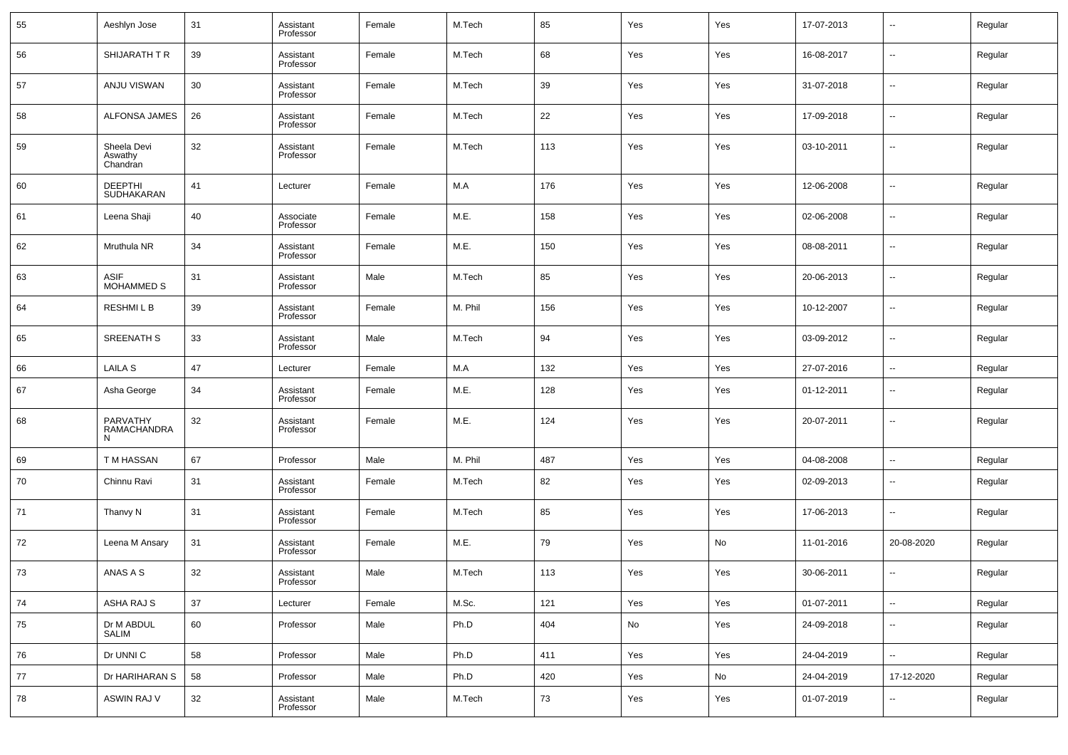| 55 | Aeshlyn Jose                       | 31 | Assistant<br>Professor | Female | M.Tech  | 85  | Yes | Yes | 17-07-2013 | --                       | Regular |
|----|------------------------------------|----|------------------------|--------|---------|-----|-----|-----|------------|--------------------------|---------|
| 56 | SHIJARATH T R                      | 39 | Assistant<br>Professor | Female | M.Tech  | 68  | Yes | Yes | 16-08-2017 | --                       | Regular |
| 57 | ANJU VISWAN                        | 30 | Assistant<br>Professor | Female | M.Tech  | 39  | Yes | Yes | 31-07-2018 | --                       | Regular |
| 58 | ALFONSA JAMES                      | 26 | Assistant<br>Professor | Female | M.Tech  | 22  | Yes | Yes | 17-09-2018 | --                       | Regular |
| 59 | Sheela Devi<br>Aswathy<br>Chandran | 32 | Assistant<br>Professor | Female | M.Tech  | 113 | Yes | Yes | 03-10-2011 | --                       | Regular |
| 60 | <b>DEEPTHI</b><br>SUDHAKARAN       | 41 | Lecturer               | Female | M.A     | 176 | Yes | Yes | 12-06-2008 | ш,                       | Regular |
| 61 | Leena Shaji                        | 40 | Associate<br>Professor | Female | M.E.    | 158 | Yes | Yes | 02-06-2008 | ш,                       | Regular |
| 62 | Mruthula NR                        | 34 | Assistant<br>Professor | Female | M.E.    | 150 | Yes | Yes | 08-08-2011 | ш,                       | Regular |
| 63 | <b>ASIF</b><br>MOHAMMED S          | 31 | Assistant<br>Professor | Male   | M.Tech  | 85  | Yes | Yes | 20-06-2013 | ш,                       | Regular |
| 64 | <b>RESHMILB</b>                    | 39 | Assistant<br>Professor | Female | M. Phil | 156 | Yes | Yes | 10-12-2007 | ш,                       | Regular |
| 65 | SREENATH S                         | 33 | Assistant<br>Professor | Male   | M.Tech  | 94  | Yes | Yes | 03-09-2012 | ш,                       | Regular |
| 66 | <b>LAILA S</b>                     | 47 | Lecturer               | Female | M.A     | 132 | Yes | Yes | 27-07-2016 | $\overline{\phantom{a}}$ | Regular |
| 67 | Asha George                        | 34 | Assistant<br>Professor | Female | M.E.    | 128 | Yes | Yes | 01-12-2011 | --                       | Regular |
| 68 | PARVATHY<br>RAMACHANDRA<br>N.      | 32 | Assistant<br>Professor | Female | M.E.    | 124 | Yes | Yes | 20-07-2011 | --                       | Regular |
| 69 | T M HASSAN                         | 67 | Professor              | Male   | M. Phil | 487 | Yes | Yes | 04-08-2008 | ш,                       | Regular |
| 70 | Chinnu Ravi                        | 31 | Assistant<br>Professor | Female | M.Tech  | 82  | Yes | Yes | 02-09-2013 | --                       | Regular |
| 71 | Thanvy N                           | 31 | Assistant<br>Professor | Female | M.Tech  | 85  | Yes | Yes | 17-06-2013 | --                       | Regular |
| 72 | Leena M Ansary                     | 31 | Assistant<br>Professor | Female | M.E.    | 79  | Yes | No  | 11-01-2016 | 20-08-2020               | Regular |
| 73 | ANAS A S                           | 32 | Assistant<br>Professor | Male   | M.Tech  | 113 | Yes | Yes | 30-06-2011 | --                       | Regular |
| 74 | ASHA RAJ S                         | 37 | Lecturer               | Female | M.Sc.   | 121 | Yes | Yes | 01-07-2011 | $\overline{\phantom{a}}$ | Regular |
| 75 | Dr M ABDUL<br>SALIM                | 60 | Professor              | Male   | Ph.D    | 404 | No  | Yes | 24-09-2018 | $\sim$                   | Regular |
| 76 | Dr UNNI C                          | 58 | Professor              | Male   | Ph.D    | 411 | Yes | Yes | 24-04-2019 | $\overline{\phantom{a}}$ | Regular |
| 77 | Dr HARIHARAN S                     | 58 | Professor              | Male   | Ph.D    | 420 | Yes | No  | 24-04-2019 | 17-12-2020               | Regular |
| 78 | ASWIN RAJ V                        | 32 | Assistant<br>Professor | Male   | M.Tech  | 73  | Yes | Yes | 01-07-2019 | --                       | Regular |